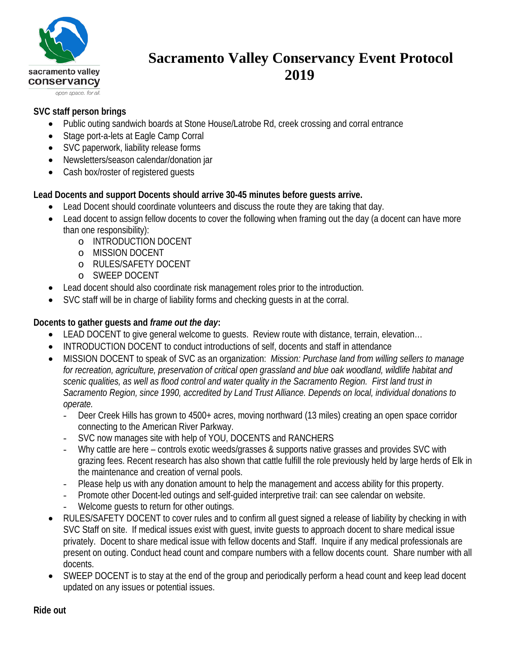

# **Sacramento Valley Conservancy Event Protocol 2019**

## **SVC staff person brings**

- Public outing sandwich boards at Stone House/Latrobe Rd, creek crossing and corral entrance
- Stage port-a-lets at Eagle Camp Corral
- SVC paperwork, liability release forms
- Newsletters/season calendar/donation jar
- Cash box/roster of registered guests

#### **Lead Docents and support Docents should arrive 30-45 minutes before guests arrive.**

- Lead Docent should coordinate volunteers and discuss the route they are taking that day.
- Lead docent to assign fellow docents to cover the following when framing out the day (a docent can have more than one responsibility):
	- o INTRODUCTION DOCENT
	- o MISSION DOCENT
	- o RULES/SAFETY DOCENT
	- o SWEEP DOCENT
- Lead docent should also coordinate risk management roles prior to the introduction.
- SVC staff will be in charge of liability forms and checking quests in at the corral.

## **Docents to gather guests and** *frame out the day***:**

- LEAD DOCENT to give general welcome to guests. Review route with distance, terrain, elevation...
- INTRODUCTION DOCENT to conduct introductions of self, docents and staff in attendance
- MISSION DOCENT to speak of SVC as an organization: *Mission: Purchase land from willing sellers to manage for recreation, agriculture, preservation of critical open grassland and blue oak woodland, wildlife habitat and scenic qualities, as well as flood control and water quality in the Sacramento Region. First land trust in Sacramento Region, since 1990, accredited by Land Trust Alliance. Depends on local, individual donations to operate.*
	- Deer Creek Hills has grown to 4500+ acres, moving northward (13 miles) creating an open space corridor connecting to the American River Parkway.
	- SVC now manages site with help of YOU, DOCENTS and RANCHERS
	- Why cattle are here controls exotic weeds/grasses & supports native grasses and provides SVC with grazing fees. Recent research has also shown that cattle fulfill the role previously held by large herds of Elk in the maintenance and creation of vernal pools.
	- Please help us with any donation amount to help the management and access ability for this property.
	- Promote other Docent-led outings and self-guided interpretive trail: can see calendar on website.
	- Welcome guests to return for other outings.
- RULES/SAFETY DOCENT to cover rules and to confirm all guest signed a release of liability by checking in with SVC Staff on site. If medical issues exist with guest, invite guests to approach docent to share medical issue privately. Docent to share medical issue with fellow docents and Staff. Inquire if any medical professionals are present on outing. Conduct head count and compare numbers with a fellow docents count. Share number with all docents.
- SWEEP DOCENT is to stay at the end of the group and periodically perform a head count and keep lead docent updated on any issues or potential issues.